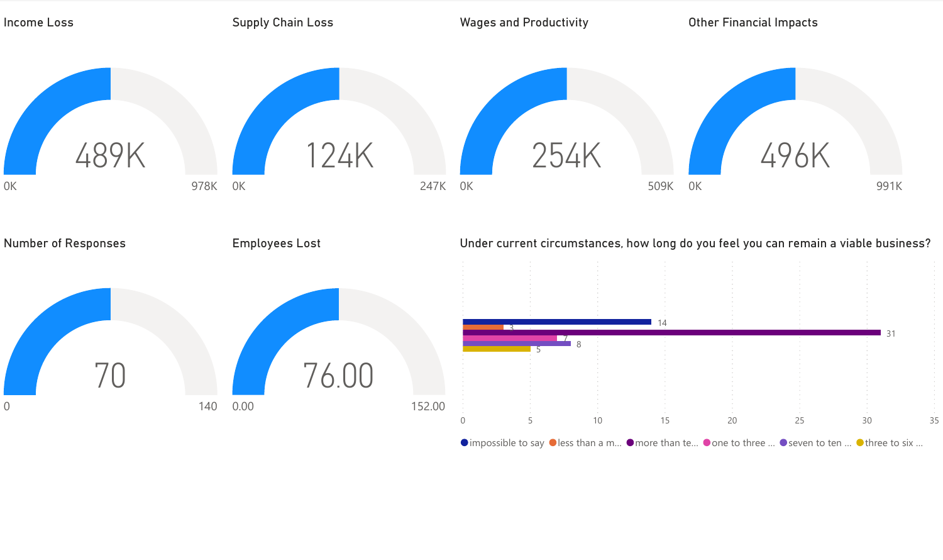

 $\bullet$  impossible to say  $\bullet$  less than a m...  $\bullet$  more than te...  $\bullet$  one to three ...  $\bullet$  seven to ten ...  $\bullet$  three to six ...